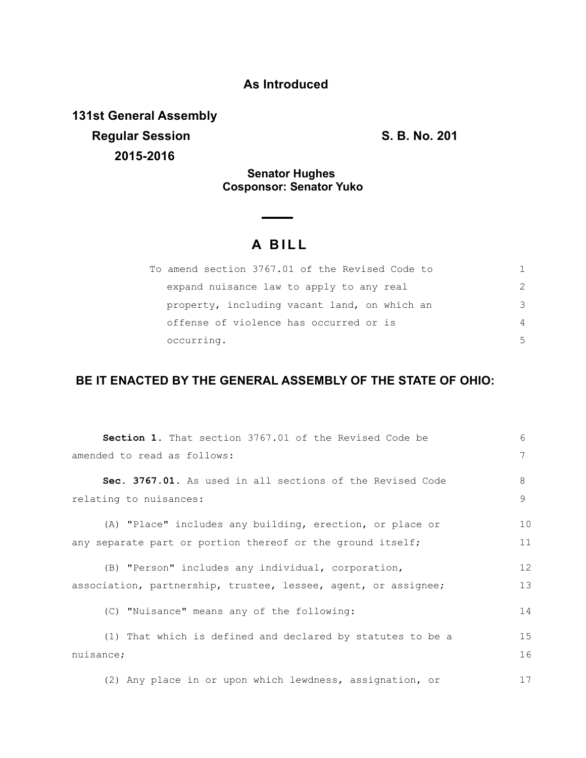# **As Introduced**

**131st General Assembly Regular Session S. B. No. 201 2015-2016**

### **Senator Hughes Cosponsor: Senator Yuko**

# **A B I L L**

| To amend section 3767.01 of the Revised Code to |                |
|-------------------------------------------------|----------------|
| expand nuisance law to apply to any real        | $\mathcal{P}$  |
| property, including vacant land, on which an    | 3              |
| offense of violence has occurred or is          | $\overline{4}$ |
| occurring.                                      | .5             |

## **BE IT ENACTED BY THE GENERAL ASSEMBLY OF THE STATE OF OHIO:**

| <b>Section 1.</b> That section 3767.01 of the Revised Code be                                                        | 6        |
|----------------------------------------------------------------------------------------------------------------------|----------|
| amended to read as follows:                                                                                          | 7        |
| Sec. 3767.01. As used in all sections of the Revised Code<br>relating to nuisances:                                  | 8<br>9   |
| (A) "Place" includes any building, erection, or place or                                                             | 10       |
| any separate part or portion thereof or the ground itself;                                                           | 11       |
| (B) "Person" includes any individual, corporation,<br>association, partnership, trustee, lessee, agent, or assignee; | 12<br>13 |
| (C) "Nuisance" means any of the following:                                                                           | 14       |
| (1) That which is defined and declared by statutes to be a<br>nuisance;                                              | 15<br>16 |
| (2) Any place in or upon which lewdness, assignation, or                                                             | 17       |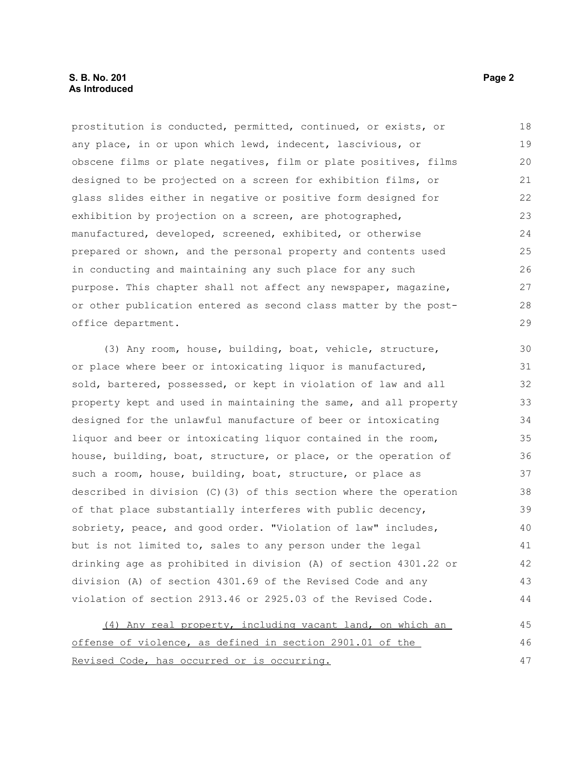#### **S. B. No. 201 Page 2 As Introduced**

prostitution is conducted, permitted, continued, or exists, or any place, in or upon which lewd, indecent, lascivious, or obscene films or plate negatives, film or plate positives, films designed to be projected on a screen for exhibition films, or glass slides either in negative or positive form designed for exhibition by projection on a screen, are photographed, manufactured, developed, screened, exhibited, or otherwise prepared or shown, and the personal property and contents used in conducting and maintaining any such place for any such purpose. This chapter shall not affect any newspaper, magazine, or other publication entered as second class matter by the postoffice department. 18 19 20 21 22 23 24 25 26 27 28 29

(3) Any room, house, building, boat, vehicle, structure, or place where beer or intoxicating liquor is manufactured, sold, bartered, possessed, or kept in violation of law and all property kept and used in maintaining the same, and all property designed for the unlawful manufacture of beer or intoxicating liquor and beer or intoxicating liquor contained in the room, house, building, boat, structure, or place, or the operation of such a room, house, building, boat, structure, or place as described in division (C)(3) of this section where the operation of that place substantially interferes with public decency, sobriety, peace, and good order. "Violation of law" includes, but is not limited to, sales to any person under the legal drinking age as prohibited in division (A) of section 4301.22 or division (A) of section 4301.69 of the Revised Code and any violation of section 2913.46 or 2925.03 of the Revised Code. 30 31 32 33 34 35 36 37 38 39 40 41 42 43 44

(4) Any real property, including vacant land, on which an offense of violence, as defined in section 2901.01 of the Revised Code, has occurred or is occurring. 45 46 47